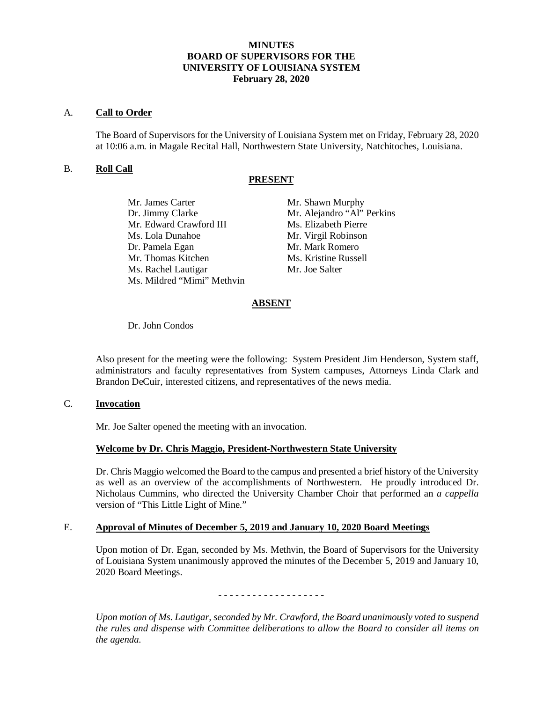# **MINUTES BOARD OF SUPERVISORS FOR THE UNIVERSITY OF LOUISIANA SYSTEM February 28, 2020**

# A. **Call to Order**

The Board of Supervisors for the University of Louisiana System met on Friday, February 28, 2020 at 10:06 a.m. in Magale Recital Hall, Northwestern State University, Natchitoches, Louisiana.

# B. **Roll Call**

# **PRESENT**

| Mr. James Carter           | Mr. Shawn Murphy           |
|----------------------------|----------------------------|
| Dr. Jimmy Clarke           | Mr. Alejandro "Al" Perkins |
| Mr. Edward Crawford III    | Ms. Elizabeth Pierre       |
| Ms. Lola Dunahoe           | Mr. Virgil Robinson        |
| Dr. Pamela Egan            | Mr. Mark Romero            |
| Mr. Thomas Kitchen         | Ms. Kristine Russell       |
| Ms. Rachel Lautigar        | Mr. Joe Salter             |
| Ms. Mildred "Mimi" Methvin |                            |
|                            |                            |

# **ABSENT**

Dr. John Condos

Also present for the meeting were the following: System President Jim Henderson, System staff, administrators and faculty representatives from System campuses, Attorneys Linda Clark and Brandon DeCuir, interested citizens, and representatives of the news media.

# C. **Invocation**

Mr. Joe Salter opened the meeting with an invocation.

# **Welcome by Dr. Chris Maggio, President-Northwestern State University**

Dr. Chris Maggio welcomed the Board to the campus and presented a brief history of the University as well as an overview of the accomplishments of Northwestern. He proudly introduced Dr. Nicholaus Cummins, who directed the University Chamber Choir that performed an *a cappella* version of "This Little Light of Mine."

# E. **Approval of Minutes of December 5, 2019 and January 10, 2020 Board Meetings**

Upon motion of Dr. Egan, seconded by Ms. Methvin, the Board of Supervisors for the University of Louisiana System unanimously approved the minutes of the December 5, 2019 and January 10, 2020 Board Meetings.

# - - - - - - - - - - - - - - - - - - -

*Upon motion of Ms. Lautigar, seconded by Mr. Crawford, the Board unanimously voted to suspend the rules and dispense with Committee deliberations to allow the Board to consider all items on the agenda.*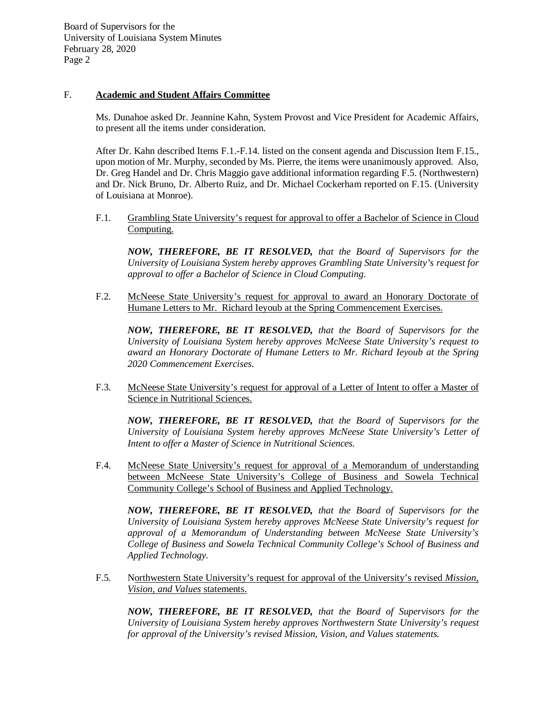# F. **Academic and Student Affairs Committee**

Ms. Dunahoe asked Dr. Jeannine Kahn, System Provost and Vice President for Academic Affairs, to present all the items under consideration.

After Dr. Kahn described Items F.1.-F.14. listed on the consent agenda and Discussion Item F.15., upon motion of Mr. Murphy, seconded by Ms. Pierre, the items were unanimously approved. Also, Dr. Greg Handel and Dr. Chris Maggio gave additional information regarding F.5. (Northwestern) and Dr. Nick Bruno, Dr. Alberto Ruiz, and Dr. Michael Cockerham reported on F.15. (University of Louisiana at Monroe).

F.1. Grambling State University's request for approval to offer a Bachelor of Science in Cloud Computing.

*NOW, THEREFORE, BE IT RESOLVED, that the Board of Supervisors for the University of Louisiana System hereby approves Grambling State University's request for approval to offer a Bachelor of Science in Cloud Computing.* 

F.2. McNeese State University's request for approval to award an Honorary Doctorate of Humane Letters to Mr. Richard Ieyoub at the Spring Commencement Exercises.

*NOW, THEREFORE, BE IT RESOLVED, that the Board of Supervisors for the University of Louisiana System hereby approves McNeese State University's request to award an Honorary Doctorate of Humane Letters to Mr. Richard Ieyoub at the Spring 2020 Commencement Exercises.* 

F.3. McNeese State University's request for approval of a Letter of Intent to offer a Master of Science in Nutritional Sciences.

*NOW, THEREFORE, BE IT RESOLVED, that the Board of Supervisors for the University of Louisiana System hereby approves McNeese State University's Letter of Intent to offer a Master of Science in Nutritional Sciences.* 

F.4. McNeese State University's request for approval of a Memorandum of understanding between McNeese State University's College of Business and Sowela Technical Community College's School of Business and Applied Technology.

*NOW, THEREFORE, BE IT RESOLVED, that the Board of Supervisors for the University of Louisiana System hereby approves McNeese State University's request for approval of a Memorandum of Understanding between McNeese State University's College of Business and Sowela Technical Community College's School of Business and Applied Technology.*

F.5. Northwestern State University's request for approval of the University's revised *Mission, Vision, and Values* statements.

*NOW, THEREFORE, BE IT RESOLVED, that the Board of Supervisors for the University of Louisiana System hereby approves Northwestern State University's request for approval of the University's revised Mission, Vision, and Values statements.*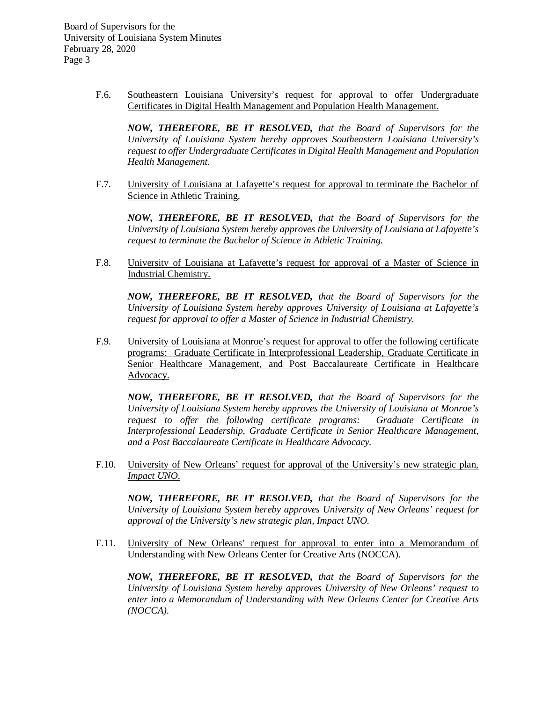> F.6. Southeastern Louisiana University's request for approval to offer Undergraduate Certificates in Digital Health Management and Population Health Management.

*NOW, THEREFORE, BE IT RESOLVED, that the Board of Supervisors for the University of Louisiana System hereby approves Southeastern Louisiana University's request to offer Undergraduate Certificates in Digital Health Management and Population Health Management.* 

F.7. University of Louisiana at Lafayette's request for approval to terminate the Bachelor of Science in Athletic Training.

*NOW, THEREFORE, BE IT RESOLVED, that the Board of Supervisors for the University of Louisiana System hereby approves the University of Louisiana at Lafayette's request to terminate the Bachelor of Science in Athletic Training.* 

F.8. University of Louisiana at Lafayette's request for approval of a Master of Science in Industrial Chemistry.

*NOW, THEREFORE, BE IT RESOLVED, that the Board of Supervisors for the University of Louisiana System hereby approves University of Louisiana at Lafayette's request for approval to offer a Master of Science in Industrial Chemistry.* 

F.9. University of Louisiana at Monroe's request for approval to offer the following certificate programs: Graduate Certificate in Interprofessional Leadership, Graduate Certificate in Senior Healthcare Management, and Post Baccalaureate Certificate in Healthcare Advocacy.

*NOW, THEREFORE, BE IT RESOLVED, that the Board of Supervisors for the University of Louisiana System hereby approves the University of Louisiana at Monroe's request to offer the following certificate programs: Graduate Certificate in Interprofessional Leadership, Graduate Certificate in Senior Healthcare Management, and a Post Baccalaureate Certificate in Healthcare Advocacy.*

F.10. University of New Orleans' request for approval of the University's new strategic plan, *Impact UNO*.

*NOW, THEREFORE, BE IT RESOLVED, that the Board of Supervisors for the University of Louisiana System hereby approves University of New Orleans' request for approval of the University's new strategic plan, Impact UNO.*

F.11. University of New Orleans' request for approval to enter into a Memorandum of Understanding with New Orleans Center for Creative Arts (NOCCA).

*NOW, THEREFORE, BE IT RESOLVED, that the Board of Supervisors for the University of Louisiana System hereby approves University of New Orleans' request to enter into a Memorandum of Understanding with New Orleans Center for Creative Arts (NOCCA).*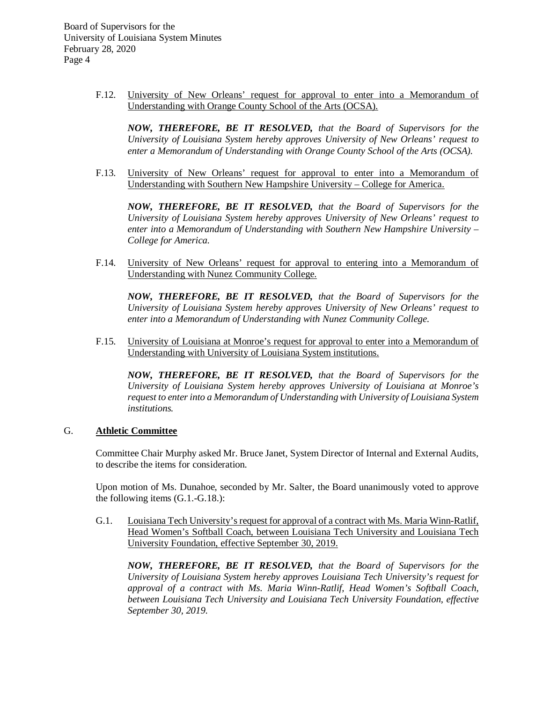> F.12. University of New Orleans' request for approval to enter into a Memorandum of Understanding with Orange County School of the Arts (OCSA).

*NOW, THEREFORE, BE IT RESOLVED, that the Board of Supervisors for the University of Louisiana System hereby approves University of New Orleans' request to enter a Memorandum of Understanding with Orange County School of the Arts (OCSA).*

F.13. University of New Orleans' request for approval to enter into a Memorandum of Understanding with Southern New Hampshire University – College for America.

*NOW, THEREFORE, BE IT RESOLVED, that the Board of Supervisors for the University of Louisiana System hereby approves University of New Orleans' request to enter into a Memorandum of Understanding with Southern New Hampshire University – College for America.* 

F.14. University of New Orleans' request for approval to entering into a Memorandum of Understanding with Nunez Community College.

*NOW, THEREFORE, BE IT RESOLVED, that the Board of Supervisors for the University of Louisiana System hereby approves University of New Orleans' request to enter into a Memorandum of Understanding with Nunez Community College.*

F.15. University of Louisiana at Monroe's request for approval to enter into a Memorandum of Understanding with University of Louisiana System institutions.

*NOW, THEREFORE, BE IT RESOLVED, that the Board of Supervisors for the University of Louisiana System hereby approves University of Louisiana at Monroe's request to enter into a Memorandum of Understanding with University of Louisiana System institutions.*

# G. **Athletic Committee**

Committee Chair Murphy asked Mr. Bruce Janet, System Director of Internal and External Audits, to describe the items for consideration.

Upon motion of Ms. Dunahoe, seconded by Mr. Salter, the Board unanimously voted to approve the following items (G.1.-G.18.):

G.1. Louisiana Tech University's request for approval of a contract with Ms. Maria Winn-Ratlif, Head Women's Softball Coach, between Louisiana Tech University and Louisiana Tech University Foundation, effective September 30, 2019.

*NOW, THEREFORE, BE IT RESOLVED, that the Board of Supervisors for the University of Louisiana System hereby approves Louisiana Tech University's request for approval of a contract with Ms. Maria Winn-Ratlif, Head Women's Softball Coach, between Louisiana Tech University and Louisiana Tech University Foundation, effective September 30, 2019.*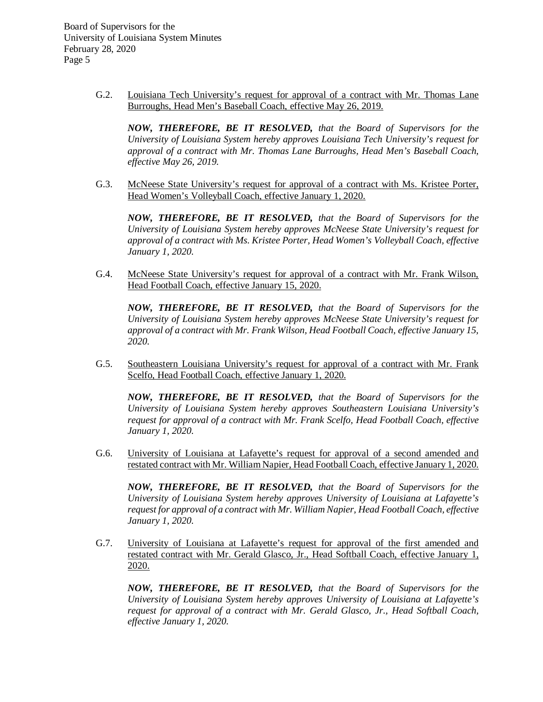> G.2. Louisiana Tech University's request for approval of a contract with Mr. Thomas Lane Burroughs, Head Men's Baseball Coach, effective May 26, 2019.

*NOW, THEREFORE, BE IT RESOLVED, that the Board of Supervisors for the University of Louisiana System hereby approves Louisiana Tech University's request for approval of a contract with Mr. Thomas Lane Burroughs, Head Men's Baseball Coach, effective May 26, 2019.* 

G.3. McNeese State University's request for approval of a contract with Ms. Kristee Porter, Head Women's Volleyball Coach, effective January 1, 2020.

*NOW, THEREFORE, BE IT RESOLVED, that the Board of Supervisors for the University of Louisiana System hereby approves McNeese State University's request for approval of a contract with Ms. Kristee Porter, Head Women's Volleyball Coach, effective January 1, 2020.*

G.4. McNeese State University's request for approval of a contract with Mr. Frank Wilson, Head Football Coach, effective January 15, 2020.

*NOW, THEREFORE, BE IT RESOLVED, that the Board of Supervisors for the University of Louisiana System hereby approves McNeese State University's request for approval of a contract with Mr. Frank Wilson, Head Football Coach, effective January 15, 2020.*

G.5. Southeastern Louisiana University's request for approval of a contract with Mr. Frank Scelfo, Head Football Coach, effective January 1, 2020.

*NOW, THEREFORE, BE IT RESOLVED, that the Board of Supervisors for the University of Louisiana System hereby approves Southeastern Louisiana University's request for approval of a contract with Mr. Frank Scelfo, Head Football Coach, effective January 1, 2020.*

G.6. University of Louisiana at Lafayette's request for approval of a second amended and restated contract with Mr. William Napier, Head Football Coach, effective January 1, 2020.

*NOW, THEREFORE, BE IT RESOLVED, that the Board of Supervisors for the University of Louisiana System hereby approves University of Louisiana at Lafayette's request for approval of a contract with Mr. William Napier, Head Football Coach, effective January 1, 2020.* 

G.7. University of Louisiana at Lafayette's request for approval of the first amended and restated contract with Mr. Gerald Glasco, Jr., Head Softball Coach, effective January 1, 2020.

*NOW, THEREFORE, BE IT RESOLVED, that the Board of Supervisors for the University of Louisiana System hereby approves University of Louisiana at Lafayette's request for approval of a contract with Mr. Gerald Glasco, Jr., Head Softball Coach, effective January 1, 2020.*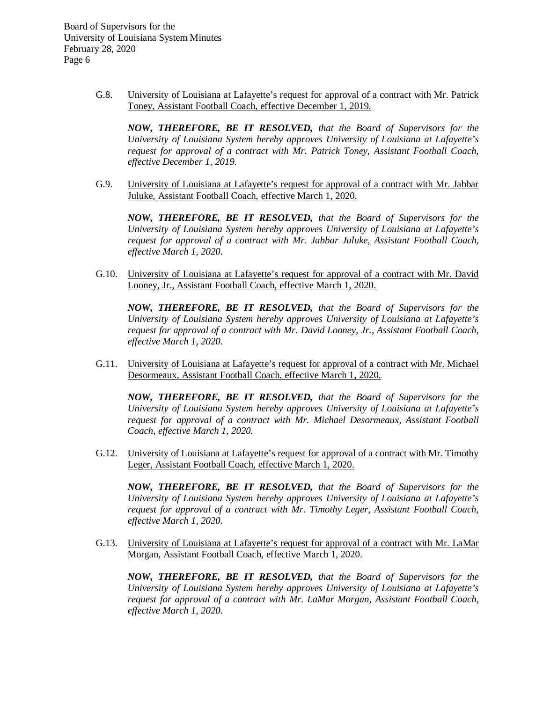> G.8. University of Louisiana at Lafayette's request for approval of a contract with Mr. Patrick Toney, Assistant Football Coach, effective December 1, 2019.

*NOW, THEREFORE, BE IT RESOLVED, that the Board of Supervisors for the University of Louisiana System hereby approves University of Louisiana at Lafayette's request for approval of a contract with Mr. Patrick Toney, Assistant Football Coach, effective December 1, 2019.*

G.9. University of Louisiana at Lafayette's request for approval of a contract with Mr. Jabbar Juluke, Assistant Football Coach, effective March 1, 2020.

*NOW, THEREFORE, BE IT RESOLVED, that the Board of Supervisors for the University of Louisiana System hereby approves University of Louisiana at Lafayette's request for approval of a contract with Mr. Jabbar Juluke, Assistant Football Coach, effective March 1, 2020.*

G.10. University of Louisiana at Lafayette's request for approval of a contract with Mr. David Looney, Jr., Assistant Football Coach, effective March 1, 2020.

*NOW, THEREFORE, BE IT RESOLVED, that the Board of Supervisors for the University of Louisiana System hereby approves University of Louisiana at Lafayette's request for approval of a contract with Mr. David Looney, Jr., Assistant Football Coach, effective March 1, 2020.*

G.11. University of Louisiana at Lafayette's request for approval of a contract with Mr. Michael Desormeaux, Assistant Football Coach, effective March 1, 2020.

*NOW, THEREFORE, BE IT RESOLVED, that the Board of Supervisors for the University of Louisiana System hereby approves University of Louisiana at Lafayette's request for approval of a contract with Mr. Michael Desormeaux, Assistant Football Coach, effective March 1, 2020.*

G.12. University of Louisiana at Lafayette's request for approval of a contract with Mr. Timothy Leger, Assistant Football Coach, effective March 1, 2020.

*NOW, THEREFORE, BE IT RESOLVED, that the Board of Supervisors for the University of Louisiana System hereby approves University of Louisiana at Lafayette's request for approval of a contract with Mr. Timothy Leger, Assistant Football Coach, effective March 1, 2020.*

G.13. University of Louisiana at Lafayette's request for approval of a contract with Mr. LaMar Morgan, Assistant Football Coach, effective March 1, 2020.

*NOW, THEREFORE, BE IT RESOLVED, that the Board of Supervisors for the University of Louisiana System hereby approves University of Louisiana at Lafayette's request for approval of a contract with Mr. LaMar Morgan, Assistant Football Coach, effective March 1, 2020.*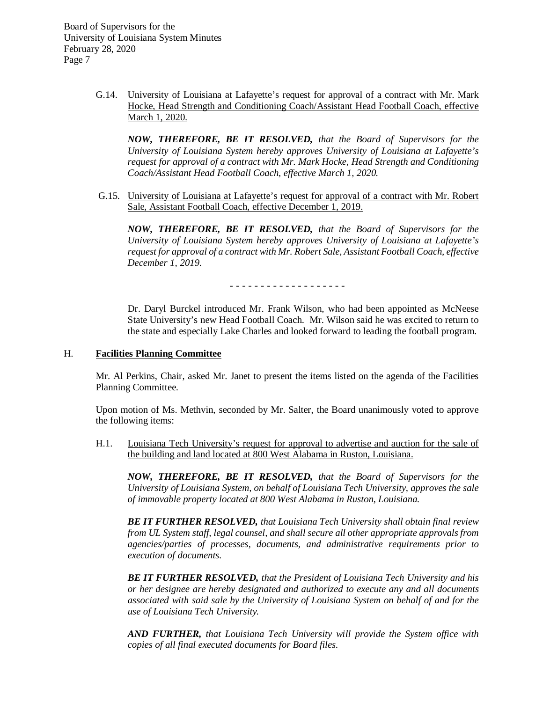> G.14. University of Louisiana at Lafayette's request for approval of a contract with Mr. Mark Hocke, Head Strength and Conditioning Coach/Assistant Head Football Coach, effective March 1, 2020.

*NOW, THEREFORE, BE IT RESOLVED, that the Board of Supervisors for the University of Louisiana System hereby approves University of Louisiana at Lafayette's request for approval of a contract with Mr. Mark Hocke, Head Strength and Conditioning Coach/Assistant Head Football Coach, effective March 1, 2020.*

G.15. University of Louisiana at Lafayette's request for approval of a contract with Mr. Robert Sale, Assistant Football Coach, effective December 1, 2019.

*NOW, THEREFORE, BE IT RESOLVED, that the Board of Supervisors for the University of Louisiana System hereby approves University of Louisiana at Lafayette's request for approval of a contract with Mr. Robert Sale, Assistant Football Coach, effective December 1, 2019.*

- - - - - - - - - - - - - - - - - - -

Dr. Daryl Burckel introduced Mr. Frank Wilson, who had been appointed as McNeese State University's new Head Football Coach. Mr. Wilson said he was excited to return to the state and especially Lake Charles and looked forward to leading the football program.

#### H. **Facilities Planning Committee**

Mr. Al Perkins, Chair, asked Mr. Janet to present the items listed on the agenda of the Facilities Planning Committee.

Upon motion of Ms. Methvin, seconded by Mr. Salter, the Board unanimously voted to approve the following items:

H.1. Louisiana Tech University's request for approval to advertise and auction for the sale of the building and land located at 800 West Alabama in Ruston, Louisiana.

*NOW, THEREFORE, BE IT RESOLVED, that the Board of Supervisors for the University of Louisiana System, on behalf of Louisiana Tech University, approves the sale of immovable property located at 800 West Alabama in Ruston, Louisiana.* 

*BE IT FURTHER RESOLVED, that Louisiana Tech University shall obtain final review from UL System staff, legal counsel, and shall secure all other appropriate approvals from agencies/parties of processes, documents, and administrative requirements prior to execution of documents.*

*BE IT FURTHER RESOLVED, that the President of Louisiana Tech University and his or her designee are hereby designated and authorized to execute any and all documents associated with said sale by the University of Louisiana System on behalf of and for the use of Louisiana Tech University.*

*AND FURTHER, that Louisiana Tech University will provide the System office with copies of all final executed documents for Board files.*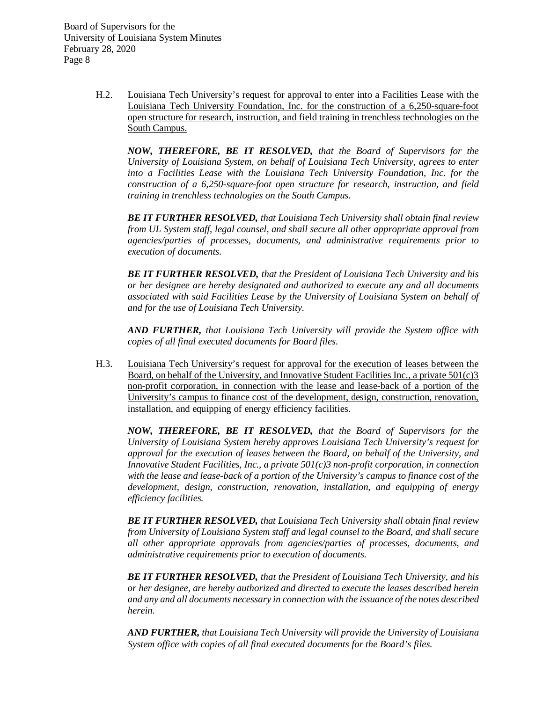> H.2. Louisiana Tech University's request for approval to enter into a Facilities Lease with the Louisiana Tech University Foundation, Inc. for the construction of a 6,250-square-foot open structure for research, instruction, and field training in trenchless technologies on the South Campus.

*NOW, THEREFORE, BE IT RESOLVED, that the Board of Supervisors for the University of Louisiana System, on behalf of Louisiana Tech University, agrees to enter into a Facilities Lease with the Louisiana Tech University Foundation, Inc. for the construction of a 6,250-square-foot open structure for research, instruction, and field training in trenchless technologies on the South Campus.* 

*BE IT FURTHER RESOLVED, that Louisiana Tech University shall obtain final review from UL System staff, legal counsel, and shall secure all other appropriate approval from agencies/parties of processes, documents, and administrative requirements prior to execution of documents.*

*BE IT FURTHER RESOLVED, that the President of Louisiana Tech University and his or her designee are hereby designated and authorized to execute any and all documents associated with said Facilities Lease by the University of Louisiana System on behalf of and for the use of Louisiana Tech University.*

*AND FURTHER, that Louisiana Tech University will provide the System office with copies of all final executed documents for Board files.*

H.3. Louisiana Tech University's request for approval for the execution of leases between the Board, on behalf of the University, and Innovative Student Facilities Inc., a private  $501(c)3$ non-profit corporation, in connection with the lease and lease-back of a portion of the University's campus to finance cost of the development, design, construction, renovation, installation, and equipping of energy efficiency facilities.

*NOW, THEREFORE, BE IT RESOLVED, that the Board of Supervisors for the University of Louisiana System hereby approves Louisiana Tech University's request for approval for the execution of leases between the Board, on behalf of the University, and Innovative Student Facilities, Inc., a private 501(c)3 non-profit corporation, in connection with the lease and lease-back of a portion of the University's campus to finance cost of the development, design, construction, renovation, installation, and equipping of energy efficiency facilities.*

*BE IT FURTHER RESOLVED, that Louisiana Tech University shall obtain final review from University of Louisiana System staff and legal counsel to the Board, and shall secure all other appropriate approvals from agencies/parties of processes, documents, and administrative requirements prior to execution of documents.*

*BE IT FURTHER RESOLVED, that the President of Louisiana Tech University, and his or her designee, are hereby authorized and directed to execute the leases described herein and any and all documents necessary in connection with the issuance of the notes described herein.*

*AND FURTHER, that Louisiana Tech University will provide the University of Louisiana System office with copies of all final executed documents for the Board's files.*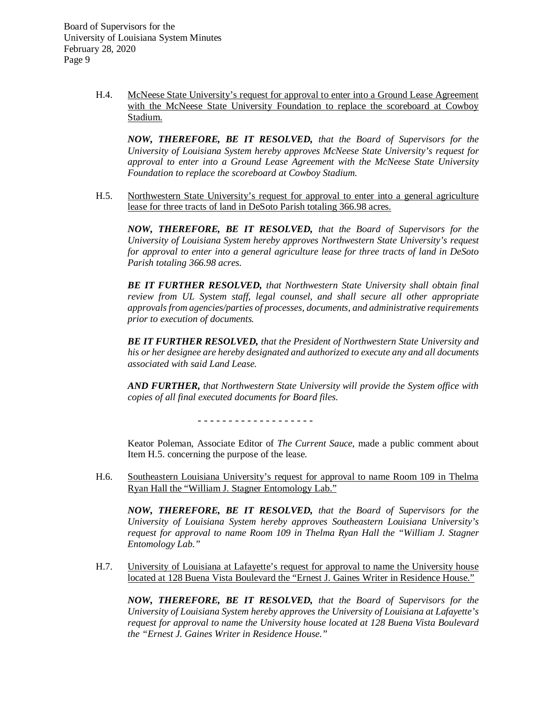> H.4. McNeese State University's request for approval to enter into a Ground Lease Agreement with the McNeese State University Foundation to replace the scoreboard at Cowboy Stadium.

*NOW, THEREFORE, BE IT RESOLVED, that the Board of Supervisors for the University of Louisiana System hereby approves McNeese State University's request for approval to enter into a Ground Lease Agreement with the McNeese State University Foundation to replace the scoreboard at Cowboy Stadium.* 

H.5. Northwestern State University's request for approval to enter into a general agriculture lease for three tracts of land in DeSoto Parish totaling 366.98 acres.

*NOW, THEREFORE, BE IT RESOLVED, that the Board of Supervisors for the University of Louisiana System hereby approves Northwestern State University's request for approval to enter into a general agriculture lease for three tracts of land in DeSoto Parish totaling 366.98 acres.*

*BE IT FURTHER RESOLVED, that Northwestern State University shall obtain final review from UL System staff, legal counsel, and shall secure all other appropriate approvals from agencies/parties of processes, documents, and administrative requirements prior to execution of documents.*

*BE IT FURTHER RESOLVED, that the President of Northwestern State University and his or her designee are hereby designated and authorized to execute any and all documents associated with said Land Lease.* 

*AND FURTHER, that Northwestern State University will provide the System office with copies of all final executed documents for Board files.*

- - - - - - - - - - - - - - - - - - -

Keator Poleman, Associate Editor of *The Current Sauce*, made a public comment about Item H.5. concerning the purpose of the lease.

H.6. Southeastern Louisiana University's request for approval to name Room 109 in Thelma Ryan Hall the "William J. Stagner Entomology Lab."

*NOW, THEREFORE, BE IT RESOLVED, that the Board of Supervisors for the University of Louisiana System hereby approves Southeastern Louisiana University's request for approval to name Room 109 in Thelma Ryan Hall the "William J. Stagner Entomology Lab."*

H.7. University of Louisiana at Lafayette's request for approval to name the University house located at 128 Buena Vista Boulevard the "Ernest J. Gaines Writer in Residence House."

*NOW, THEREFORE, BE IT RESOLVED, that the Board of Supervisors for the University of Louisiana System hereby approves the University of Louisiana at Lafayette's request for approval to name the University house located at 128 Buena Vista Boulevard the "Ernest J. Gaines Writer in Residence House."*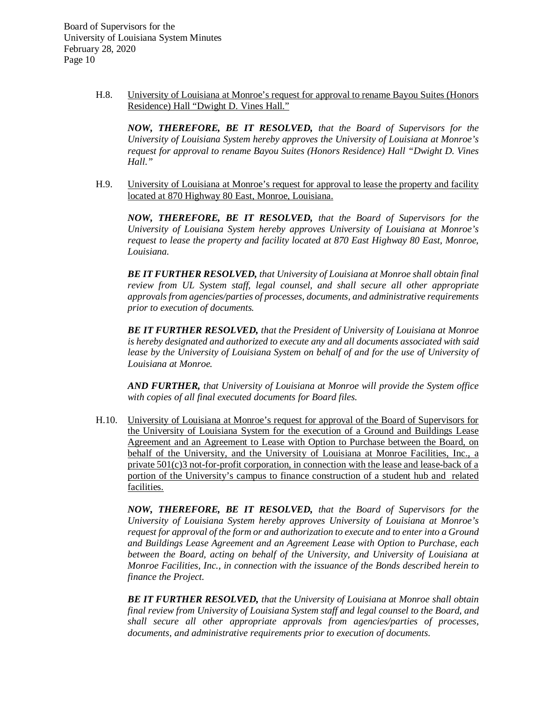> H.8. University of Louisiana at Monroe's request for approval to rename Bayou Suites (Honors Residence) Hall "Dwight D. Vines Hall."

*NOW, THEREFORE, BE IT RESOLVED, that the Board of Supervisors for the University of Louisiana System hereby approves the University of Louisiana at Monroe's request for approval to rename Bayou Suites (Honors Residence) Hall "Dwight D. Vines Hall."*

H.9. University of Louisiana at Monroe's request for approval to lease the property and facility located at 870 Highway 80 East, Monroe, Louisiana.

*NOW, THEREFORE, BE IT RESOLVED, that the Board of Supervisors for the University of Louisiana System hereby approves University of Louisiana at Monroe's request to lease the property and facility located at 870 East Highway 80 East, Monroe, Louisiana.*

*BE IT FURTHER RESOLVED, that University of Louisiana at Monroe shall obtain final review from UL System staff, legal counsel, and shall secure all other appropriate approvals from agencies/parties of processes, documents, and administrative requirements prior to execution of documents.*

*BE IT FURTHER RESOLVED, that the President of University of Louisiana at Monroe is hereby designated and authorized to execute any and all documents associated with said lease by the University of Louisiana System on behalf of and for the use of University of Louisiana at Monroe.* 

*AND FURTHER, that University of Louisiana at Monroe will provide the System office with copies of all final executed documents for Board files.*

H.10. University of Louisiana at Monroe's request for approval of the Board of Supervisors for the University of Louisiana System for the execution of a Ground and Buildings Lease Agreement and an Agreement to Lease with Option to Purchase between the Board, on behalf of the University, and the University of Louisiana at Monroe Facilities, Inc., a private  $501(c)3$  not-for-profit corporation, in connection with the lease and lease-back of a portion of the University's campus to finance construction of a student hub and related facilities.

*NOW, THEREFORE, BE IT RESOLVED, that the Board of Supervisors for the University of Louisiana System hereby approves University of Louisiana at Monroe's request for approval of the form or and authorization to execute and to enter into a Ground and Buildings Lease Agreement and an Agreement Lease with Option to Purchase, each between the Board, acting on behalf of the University, and University of Louisiana at Monroe Facilities, Inc., in connection with the issuance of the Bonds described herein to finance the Project.*

*BE IT FURTHER RESOLVED, that the University of Louisiana at Monroe shall obtain final review from University of Louisiana System staff and legal counsel to the Board, and shall secure all other appropriate approvals from agencies/parties of processes, documents, and administrative requirements prior to execution of documents.*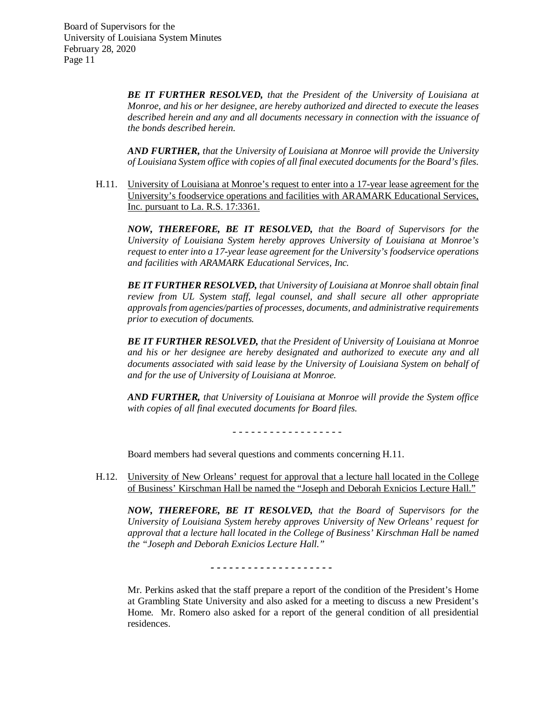> *BE IT FURTHER RESOLVED, that the President of the University of Louisiana at Monroe, and his or her designee, are hereby authorized and directed to execute the leases described herein and any and all documents necessary in connection with the issuance of the bonds described herein.*

> *AND FURTHER, that the University of Louisiana at Monroe will provide the University of Louisiana System office with copies of all final executed documents for the Board's files.*

H.11. University of Louisiana at Monroe's request to enter into a 17-year lease agreement for the University's foodservice operations and facilities with ARAMARK Educational Services, Inc. pursuant to La. R.S. 17:3361.

*NOW, THEREFORE, BE IT RESOLVED, that the Board of Supervisors for the University of Louisiana System hereby approves University of Louisiana at Monroe's request to enter into a 17-year lease agreement for the University's foodservice operations and facilities with ARAMARK Educational Services, Inc.* 

*BE IT FURTHER RESOLVED, that University of Louisiana at Monroe shall obtain final review from UL System staff, legal counsel, and shall secure all other appropriate approvals from agencies/parties of processes, documents, and administrative requirements prior to execution of documents.*

*BE IT FURTHER RESOLVED, that the President of University of Louisiana at Monroe and his or her designee are hereby designated and authorized to execute any and all documents associated with said lease by the University of Louisiana System on behalf of and for the use of University of Louisiana at Monroe.*

*AND FURTHER, that University of Louisiana at Monroe will provide the System office with copies of all final executed documents for Board files.*

- - - - - - - - - - - - - - - - - -

Board members had several questions and comments concerning H.11.

H.12. University of New Orleans' request for approval that a lecture hall located in the College of Business' Kirschman Hall be named the "Joseph and Deborah Exnicios Lecture Hall."

*NOW, THEREFORE, BE IT RESOLVED, that the Board of Supervisors for the University of Louisiana System hereby approves University of New Orleans' request for approval that a lecture hall located in the College of Business' Kirschman Hall be named the "Joseph and Deborah Exnicios Lecture Hall."*

*- - - - - - - - - - - - - - - - - - - -*

Mr. Perkins asked that the staff prepare a report of the condition of the President's Home at Grambling State University and also asked for a meeting to discuss a new President's Home. Mr. Romero also asked for a report of the general condition of all presidential residences.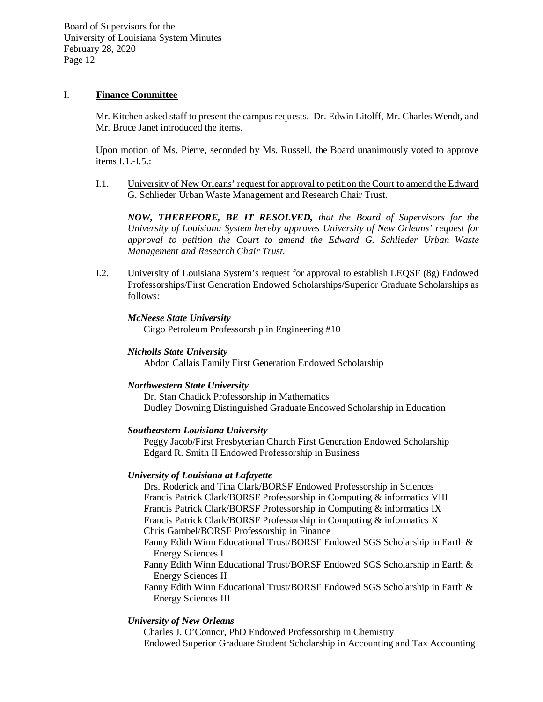# I. **Finance Committee**

Mr. Kitchen asked staff to present the campus requests. Dr. Edwin Litolff, Mr. Charles Wendt, and Mr. Bruce Janet introduced the items.

Upon motion of Ms. Pierre, seconded by Ms. Russell, the Board unanimously voted to approve items I.1.-I.5.:

I.1. University of New Orleans' request for approval to petition the Court to amend the Edward G. Schlieder Urban Waste Management and Research Chair Trust.

*NOW, THEREFORE, BE IT RESOLVED, that the Board of Supervisors for the University of Louisiana System hereby approves University of New Orleans' request for approval to petition the Court to amend the Edward G. Schlieder Urban Waste Management and Research Chair Trust.*

I.2. University of Louisiana System's request for approval to establish LEQSF (8g) Endowed Professorships/First Generation Endowed Scholarships/Superior Graduate Scholarships as follows:

## *McNeese State University*

Citgo Petroleum Professorship in Engineering #10

#### *Nicholls State University*

Abdon Callais Family First Generation Endowed Scholarship

#### *Northwestern State University*

Dr. Stan Chadick Professorship in Mathematics Dudley Downing Distinguished Graduate Endowed Scholarship in Education

#### *Southeastern Louisiana University*

Peggy Jacob/First Presbyterian Church First Generation Endowed Scholarship Edgard R. Smith II Endowed Professorship in Business

# *University of Louisiana at Lafayette*

Drs. Roderick and Tina Clark/BORSF Endowed Professorship in Sciences Francis Patrick Clark/BORSF Professorship in Computing & informatics VIII Francis Patrick Clark/BORSF Professorship in Computing & informatics IX Francis Patrick Clark/BORSF Professorship in Computing & informatics X Chris Gambel/BORSF Professorship in Finance

Fanny Edith Winn Educational Trust/BORSF Endowed SGS Scholarship in Earth & Energy Sciences I

Fanny Edith Winn Educational Trust/BORSF Endowed SGS Scholarship in Earth & Energy Sciences II

Fanny Edith Winn Educational Trust/BORSF Endowed SGS Scholarship in Earth & Energy Sciences III

# *University of New Orleans*

Charles J. O'Connor, PhD Endowed Professorship in Chemistry Endowed Superior Graduate Student Scholarship in Accounting and Tax Accounting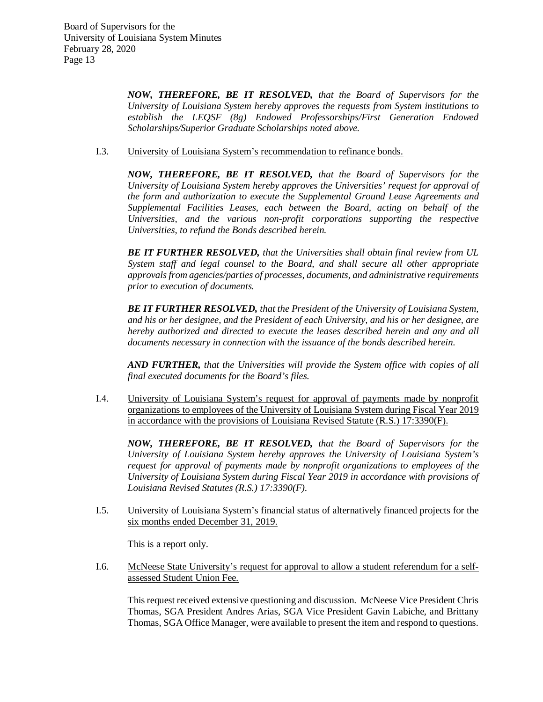*NOW, THEREFORE, BE IT RESOLVED, that the Board of Supervisors for the University of Louisiana System hereby approves the requests from System institutions to establish the LEQSF (8g) Endowed Professorships/First Generation Endowed Scholarships/Superior Graduate Scholarships noted above.*

## I.3. University of Louisiana System's recommendation to refinance bonds.

*NOW, THEREFORE, BE IT RESOLVED, that the Board of Supervisors for the University of Louisiana System hereby approves the Universities' request for approval of the form and authorization to execute the Supplemental Ground Lease Agreements and Supplemental Facilities Leases, each between the Board, acting on behalf of the Universities, and the various non-profit corporations supporting the respective Universities, to refund the Bonds described herein.*

*BE IT FURTHER RESOLVED, that the Universities shall obtain final review from UL System staff and legal counsel to the Board, and shall secure all other appropriate approvals from agencies/parties of processes, documents, and administrative requirements prior to execution of documents.*

*BE IT FURTHER RESOLVED, that the President of the University of Louisiana System, and his or her designee, and the President of each University, and his or her designee, are hereby authorized and directed to execute the leases described herein and any and all documents necessary in connection with the issuance of the bonds described herein.*

*AND FURTHER, that the Universities will provide the System office with copies of all final executed documents for the Board's files.* 

I.4. University of Louisiana System's request for approval of payments made by nonprofit organizations to employees of the University of Louisiana System during Fiscal Year 2019 in accordance with the provisions of Louisiana Revised Statute (R.S.) 17:3390(F).

*NOW, THEREFORE, BE IT RESOLVED, that the Board of Supervisors for the University of Louisiana System hereby approves the University of Louisiana System's request for approval of payments made by nonprofit organizations to employees of the University of Louisiana System during Fiscal Year 2019 in accordance with provisions of Louisiana Revised Statutes (R.S.) 17:3390(F).* 

I.5. University of Louisiana System's financial status of alternatively financed projects for the six months ended December 31, 2019.

This is a report only.

I.6. McNeese State University's request for approval to allow a student referendum for a selfassessed Student Union Fee.

This request received extensive questioning and discussion. McNeese Vice President Chris Thomas, SGA President Andres Arias, SGA Vice President Gavin Labiche, and Brittany Thomas, SGA Office Manager, were available to present the item and respond to questions.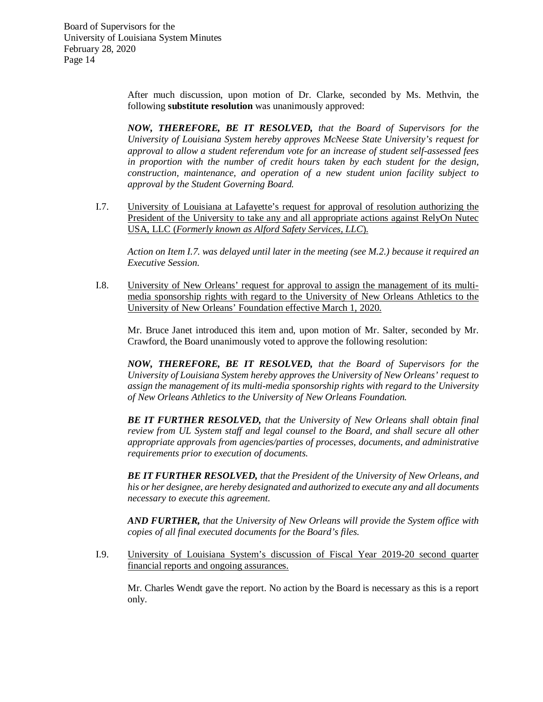> After much discussion, upon motion of Dr. Clarke, seconded by Ms. Methvin, the following **substitute resolution** was unanimously approved:

> *NOW, THEREFORE, BE IT RESOLVED, that the Board of Supervisors for the University of Louisiana System hereby approves McNeese State University's request for approval to allow a student referendum vote for an increase of student self-assessed fees in proportion with the number of credit hours taken by each student for the design, construction, maintenance, and operation of a new student union facility subject to approval by the Student Governing Board.*

I.7. University of Louisiana at Lafayette's request for approval of resolution authorizing the President of the University to take any and all appropriate actions against RelyOn Nutec USA, LLC (*Formerly known as Alford Safety Services, LLC*).

*Action on Item I.7. was delayed until later in the meeting (see M.2.) because it required an Executive Session.* 

I.8. University of New Orleans' request for approval to assign the management of its multimedia sponsorship rights with regard to the University of New Orleans Athletics to the University of New Orleans' Foundation effective March 1, 2020.

Mr. Bruce Janet introduced this item and, upon motion of Mr. Salter, seconded by Mr. Crawford, the Board unanimously voted to approve the following resolution:

*NOW, THEREFORE, BE IT RESOLVED, that the Board of Supervisors for the University of Louisiana System hereby approves the University of New Orleans' request to assign the management of its multi-media sponsorship rights with regard to the University of New Orleans Athletics to the University of New Orleans Foundation.*

*BE IT FURTHER RESOLVED, that the University of New Orleans shall obtain final review from UL System staff and legal counsel to the Board, and shall secure all other appropriate approvals from agencies/parties of processes, documents, and administrative requirements prior to execution of documents.*

*BE IT FURTHER RESOLVED, that the President of the University of New Orleans, and his or her designee, are hereby designated and authorized to execute any and all documents necessary to execute this agreement.*

*AND FURTHER, that the University of New Orleans will provide the System office with copies of all final executed documents for the Board's files.*

I.9. University of Louisiana System's discussion of Fiscal Year 2019-20 second quarter financial reports and ongoing assurances.

Mr. Charles Wendt gave the report. No action by the Board is necessary as this is a report only.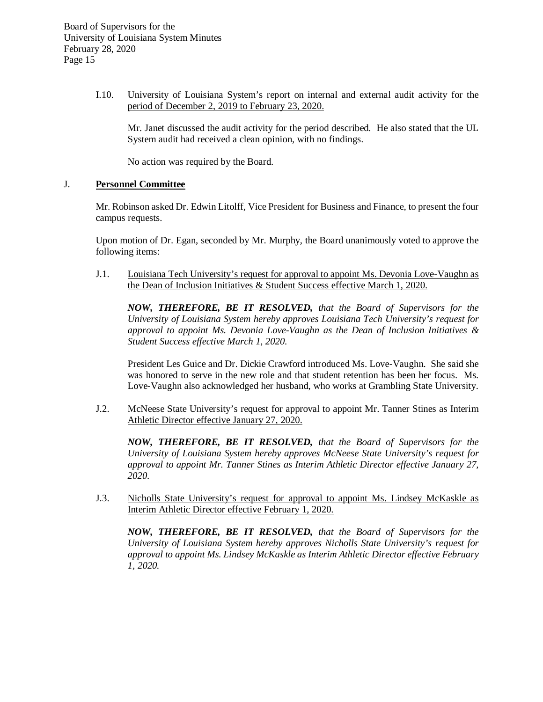# I.10. University of Louisiana System's report on internal and external audit activity for the period of December 2, 2019 to February 23, 2020.

Mr. Janet discussed the audit activity for the period described. He also stated that the UL System audit had received a clean opinion, with no findings.

No action was required by the Board.

## J. **Personnel Committee**

Mr. Robinson asked Dr. Edwin Litolff, Vice President for Business and Finance, to present the four campus requests.

Upon motion of Dr. Egan, seconded by Mr. Murphy, the Board unanimously voted to approve the following items:

J.1. Louisiana Tech University's request for approval to appoint Ms. Devonia Love-Vaughn as the Dean of Inclusion Initiatives & Student Success effective March 1, 2020.

*NOW, THEREFORE, BE IT RESOLVED, that the Board of Supervisors for the University of Louisiana System hereby approves Louisiana Tech University's request for approval to appoint Ms. Devonia Love-Vaughn as the Dean of Inclusion Initiatives & Student Success effective March 1, 2020.*

President Les Guice and Dr. Dickie Crawford introduced Ms. Love-Vaughn. She said she was honored to serve in the new role and that student retention has been her focus. Ms. Love-Vaughn also acknowledged her husband, who works at Grambling State University.

J.2. McNeese State University's request for approval to appoint Mr. Tanner Stines as Interim Athletic Director effective January 27, 2020.

*NOW, THEREFORE, BE IT RESOLVED, that the Board of Supervisors for the University of Louisiana System hereby approves McNeese State University's request for approval to appoint Mr. Tanner Stines as Interim Athletic Director effective January 27, 2020.*

J.3. Nicholls State University's request for approval to appoint Ms. Lindsey McKaskle as Interim Athletic Director effective February 1, 2020.

*NOW, THEREFORE, BE IT RESOLVED, that the Board of Supervisors for the University of Louisiana System hereby approves Nicholls State University's request for approval to appoint Ms. Lindsey McKaskle as Interim Athletic Director effective February 1, 2020.*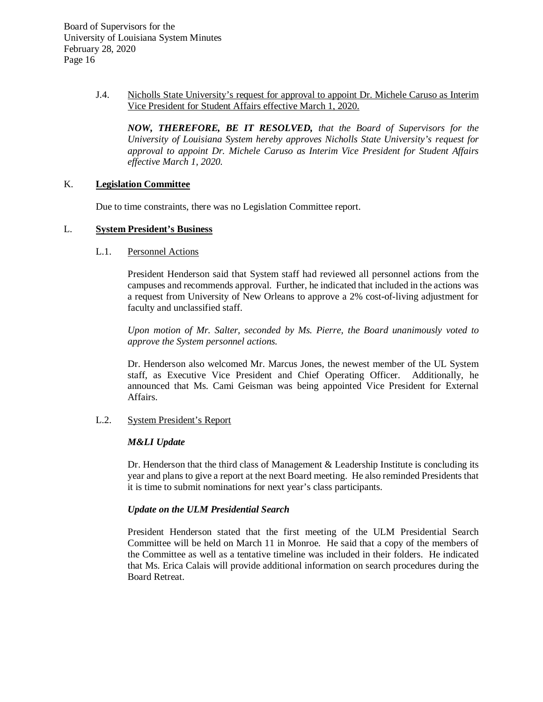> J.4. Nicholls State University's request for approval to appoint Dr. Michele Caruso as Interim Vice President for Student Affairs effective March 1, 2020.

*NOW, THEREFORE, BE IT RESOLVED, that the Board of Supervisors for the University of Louisiana System hereby approves Nicholls State University's request for approval to appoint Dr. Michele Caruso as Interim Vice President for Student Affairs effective March 1, 2020.* 

## K. **Legislation Committee**

Due to time constraints, there was no Legislation Committee report.

## L. **System President's Business**

## L.1. Personnel Actions

President Henderson said that System staff had reviewed all personnel actions from the campuses and recommends approval. Further, he indicated that included in the actions was a request from University of New Orleans to approve a 2% cost-of-living adjustment for faculty and unclassified staff.

*Upon motion of Mr. Salter, seconded by Ms. Pierre, the Board unanimously voted to approve the System personnel actions.*

Dr. Henderson also welcomed Mr. Marcus Jones, the newest member of the UL System staff, as Executive Vice President and Chief Operating Officer. Additionally, he announced that Ms. Cami Geisman was being appointed Vice President for External Affairs.

# L.2. System President's Report

# *M&LI Update*

Dr. Henderson that the third class of Management & Leadership Institute is concluding its year and plans to give a report at the next Board meeting. He also reminded Presidents that it is time to submit nominations for next year's class participants.

# *Update on the ULM Presidential Search*

President Henderson stated that the first meeting of the ULM Presidential Search Committee will be held on March 11 in Monroe. He said that a copy of the members of the Committee as well as a tentative timeline was included in their folders. He indicated that Ms. Erica Calais will provide additional information on search procedures during the Board Retreat.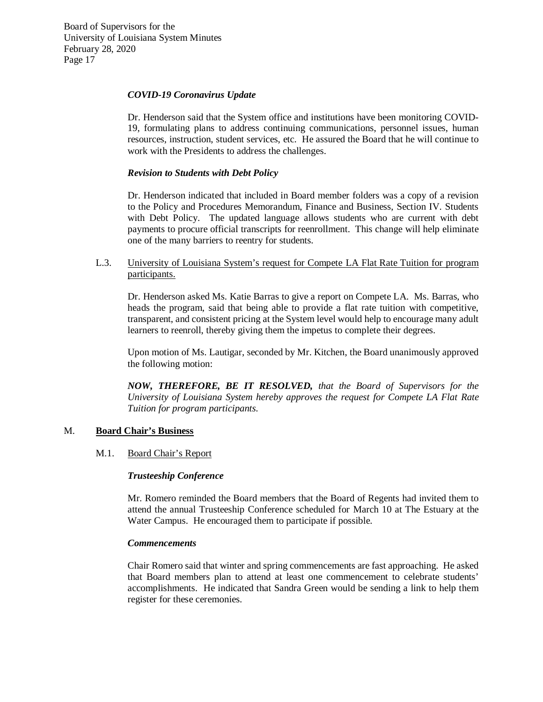## *COVID-19 Coronavirus Update*

Dr. Henderson said that the System office and institutions have been monitoring COVID-19, formulating plans to address continuing communications, personnel issues, human resources, instruction, student services, etc. He assured the Board that he will continue to work with the Presidents to address the challenges.

## *Revision to Students with Debt Policy*

Dr. Henderson indicated that included in Board member folders was a copy of a revision to the Policy and Procedures Memorandum, Finance and Business, Section IV. Students with Debt Policy. The updated language allows students who are current with debt payments to procure official transcripts for reenrollment. This change will help eliminate one of the many barriers to reentry for students.

L.3. University of Louisiana System's request for Compete LA Flat Rate Tuition for program participants.

Dr. Henderson asked Ms. Katie Barras to give a report on Compete LA. Ms. Barras, who heads the program, said that being able to provide a flat rate tuition with competitive, transparent, and consistent pricing at the System level would help to encourage many adult learners to reenroll, thereby giving them the impetus to complete their degrees.

Upon motion of Ms. Lautigar, seconded by Mr. Kitchen, the Board unanimously approved the following motion:

*NOW, THEREFORE, BE IT RESOLVED, that the Board of Supervisors for the University of Louisiana System hereby approves the request for Compete LA Flat Rate Tuition for program participants.*

#### M. **Board Chair's Business**

#### M.1. Board Chair's Report

#### *Trusteeship Conference*

Mr. Romero reminded the Board members that the Board of Regents had invited them to attend the annual Trusteeship Conference scheduled for March 10 at The Estuary at the Water Campus. He encouraged them to participate if possible.

#### *Commencements*

Chair Romero said that winter and spring commencements are fast approaching. He asked that Board members plan to attend at least one commencement to celebrate students' accomplishments. He indicated that Sandra Green would be sending a link to help them register for these ceremonies.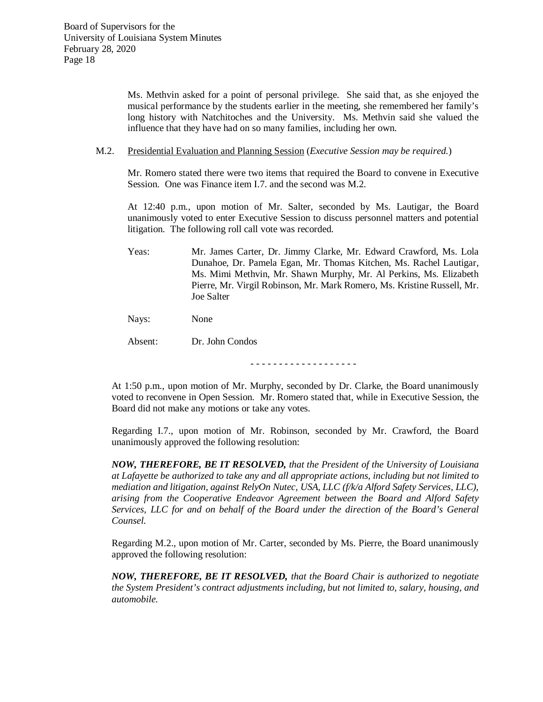Ms. Methvin asked for a point of personal privilege. She said that, as she enjoyed the musical performance by the students earlier in the meeting, she remembered her family's long history with Natchitoches and the University. Ms. Methvin said she valued the influence that they have had on so many families, including her own.

M.2. Presidential Evaluation and Planning Session (*Executive Session may be required.*)

Mr. Romero stated there were two items that required the Board to convene in Executive Session. One was Finance item I.7. and the second was M.2.

At 12:40 p.m., upon motion of Mr. Salter, seconded by Ms. Lautigar, the Board unanimously voted to enter Executive Session to discuss personnel matters and potential litigation. The following roll call vote was recorded.

Yeas: Mr. James Carter, Dr. Jimmy Clarke, Mr. Edward Crawford, Ms. Lola Dunahoe, Dr. Pamela Egan, Mr. Thomas Kitchen, Ms. Rachel Lautigar, Ms. Mimi Methvin, Mr. Shawn Murphy, Mr. Al Perkins, Ms. Elizabeth Pierre, Mr. Virgil Robinson, Mr. Mark Romero, Ms. Kristine Russell, Mr. Joe Salter

Nays: None

Absent: Dr. John Condos

- - - - - - - - - - - - - - - - - - -

At 1:50 p.m., upon motion of Mr. Murphy, seconded by Dr. Clarke, the Board unanimously voted to reconvene in Open Session. Mr. Romero stated that, while in Executive Session, the Board did not make any motions or take any votes.

Regarding I.7., upon motion of Mr. Robinson, seconded by Mr. Crawford, the Board unanimously approved the following resolution:

*NOW, THEREFORE, BE IT RESOLVED, that the President of the University of Louisiana at Lafayette be authorized to take any and all appropriate actions, including but not limited to mediation and litigation, against RelyOn Nutec, USA, LLC (f/k/a Alford Safety Services, LLC), arising from the Cooperative Endeavor Agreement between the Board and Alford Safety Services, LLC for and on behalf of the Board under the direction of the Board's General Counsel.* 

Regarding M.2., upon motion of Mr. Carter, seconded by Ms. Pierre, the Board unanimously approved the following resolution:

*NOW, THEREFORE, BE IT RESOLVED, that the Board Chair is authorized to negotiate the System President's contract adjustments including, but not limited to, salary, housing, and automobile.*